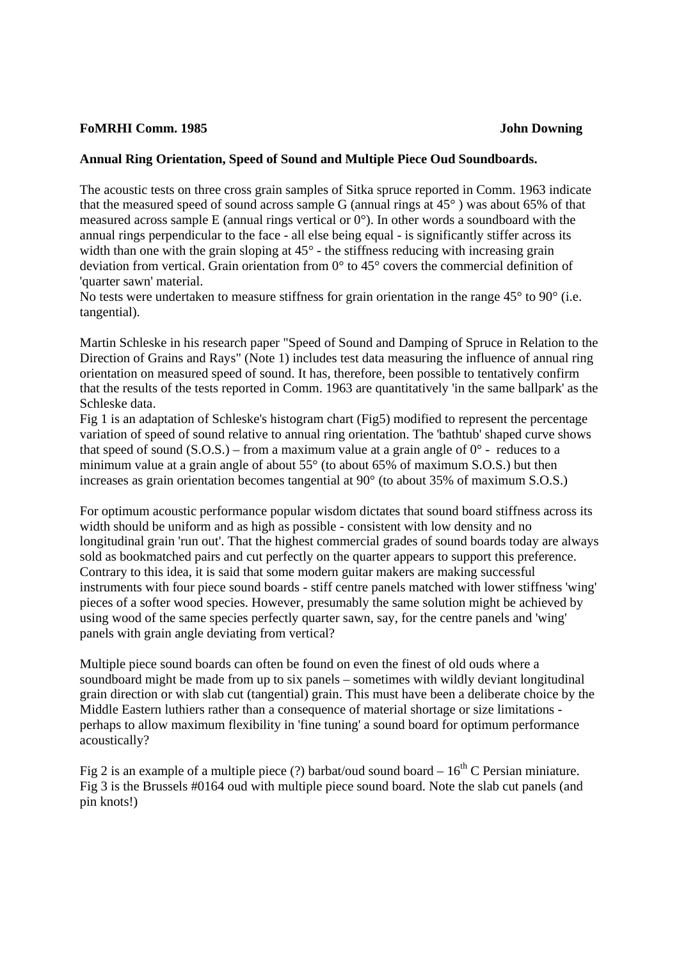## **FoMRHI Comm. 1985 John Downing**

## **Annual Ring Orientation, Speed of Sound and Multiple Piece Oud Soundboards.**

The acoustic tests on three cross grain samples of Sitka spruce reported in Comm. 1963 indicate that the measured speed of sound across sample G (annual rings at 45° ) was about 65% of that measured across sample E (annual rings vertical or 0°). In other words a soundboard with the annual rings perpendicular to the face - all else being equal - is significantly stiffer across its width than one with the grain sloping at  $45^{\circ}$  - the stiffness reducing with increasing grain deviation from vertical. Grain orientation from 0° to 45° covers the commercial definition of 'quarter sawn' material.

No tests were undertaken to measure stiffness for grain orientation in the range 45<sup>°</sup> to 90<sup>°</sup> (i.e. tangential).

Martin Schleske in his research paper "Speed of Sound and Damping of Spruce in Relation to the Direction of Grains and Rays" (Note 1) includes test data measuring the influence of annual ring orientation on measured speed of sound. It has, therefore, been possible to tentatively confirm that the results of the tests reported in Comm. 1963 are quantitatively 'in the same ballpark' as the Schleske data.

Fig 1 is an adaptation of Schleske's histogram chart (Fig5) modified to represent the percentage variation of speed of sound relative to annual ring orientation. The 'bathtub' shaped curve shows that speed of sound (S.O.S.) – from a maximum value at a grain angle of  $0^{\circ}$  - reduces to a minimum value at a grain angle of about 55° (to about 65% of maximum S.O.S.) but then increases as grain orientation becomes tangential at 90° (to about 35% of maximum S.O.S.)

For optimum acoustic performance popular wisdom dictates that sound board stiffness across its width should be uniform and as high as possible - consistent with low density and no longitudinal grain 'run out'. That the highest commercial grades of sound boards today are always sold as bookmatched pairs and cut perfectly on the quarter appears to support this preference. Contrary to this idea, it is said that some modern guitar makers are making successful instruments with four piece sound boards - stiff centre panels matched with lower stiffness 'wing' pieces of a softer wood species. However, presumably the same solution might be achieved by using wood of the same species perfectly quarter sawn, say, for the centre panels and 'wing' panels with grain angle deviating from vertical?

Multiple piece sound boards can often be found on even the finest of old ouds where a soundboard might be made from up to six panels – sometimes with wildly deviant longitudinal grain direction or with slab cut (tangential) grain. This must have been a deliberate choice by the Middle Eastern luthiers rather than a consequence of material shortage or size limitations perhaps to allow maximum flexibility in 'fine tuning' a sound board for optimum performance acoustically?

Fig 2 is an example of a multiple piece (?) barbat/oud sound board  $-16^{th}$  C Persian miniature. Fig 3 is the Brussels #0164 oud with multiple piece sound board. Note the slab cut panels (and pin knots!)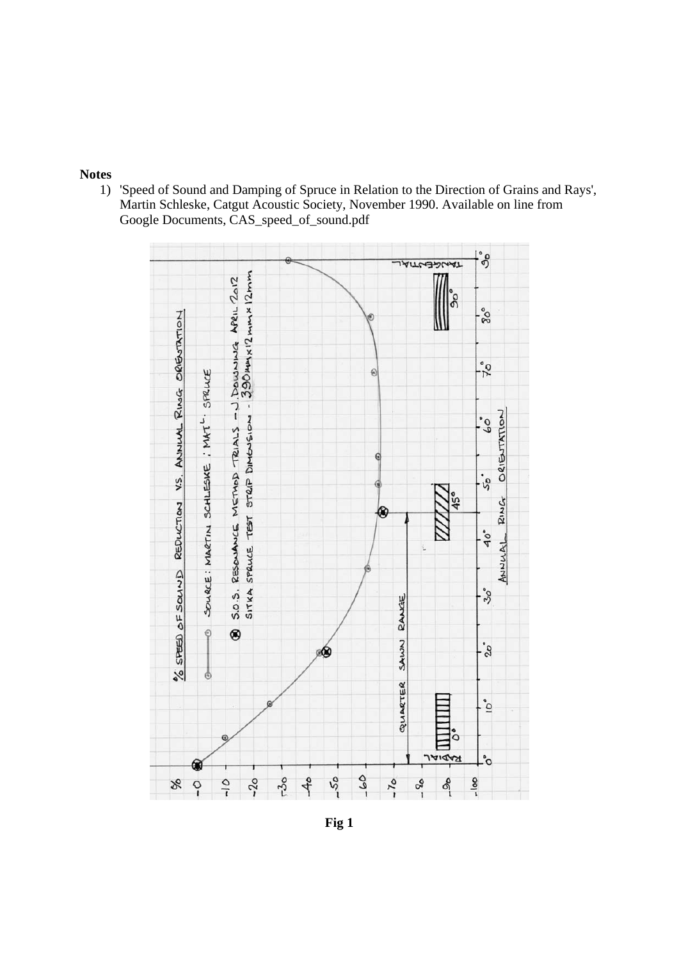## **Notes**

1) 'Speed of Sound and Damping of Spruce in Relation to the Direction of Grains and Rays', Martin Schleske, Catgut Acoustic Society, November 1990. Available on line from Google Documents, CAS\_speed\_of\_sound.pdf



**Fig 1**